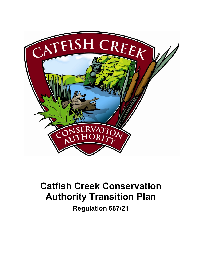

# **Catfish Creek Conservation Authority Transition Plan Regulation 687/21**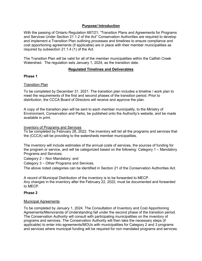# **Purpose/ Introduction**

With the passing of Ontario Regulation 687/21; "Transition Plans and Agreements for Programs and Services Under Section 21.1.2 of the Act" Conservation Authorities are required to develop and implement a Transition Plan outlining processes and timelines to ensure compliance and cost apportioning agreements (if applicable) are in place with their member municipalities as required by subsection 21.1.4 (1) of the Act.

The Transition Plan will be valid for all of the member municipalities within the Catfish Creek Watershed. The regulation sets January 1, 2024, as the transition date.

## **Regulated Timelines and Deliverables**

## **Phase 1**

### Transition Plan

To be completed by December 31, 2021. The transition plan includes a timeline / work plan to meet the requirements of the first and second phases of the transition period. Prior to distribution, the CCCA Board of Directors will receive and approve the plan.

A copy of the transition plan will be sent to each member municipality, to the Ministry of Environment, Conservation and Parks, be published onto the Authority's website, and be made available in print.

#### Inventory of Programs and Services

To be completed by February 28, 2022. The inventory will list all the programs and services that the (CCCA) will be providing to the watersheds member municipalities.

The inventory will include estimates of the annual costs of services, the sources of funding for the program or service, and will be categorized based on the following: Category 1 – Mandatory Programs and Services;

Category 2 – Non Mandatory; and

Category 3 – Other Programs and Services.

The above noted categories can be identified in Section 21 of the Conservation Authorities Act.

A record of Municipal Distribution of the inventory is to be forwarded to MECP. Any changes in the inventory after the February 22, 2022, must be documented and forwarded to MECP.

#### **Phase 2**

#### Municipal Agreements

To be completed by January 1, 2024. The Consultation of Inventory and Cost Apportioning Agreements/Memoranda of Understanding fall under the second phase of the transition period. The Conservation Authority will consult with participating municipalities on the inventory of programs and services. The Conservation Authority will then take the necessary steps (if applicable) to enter into agreements/MOUs with municipalities for Category 2 and 3 programs and services where municipal funding will be required for non mandated programs and services.